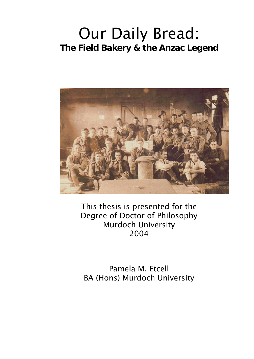# Our Daily Bread: **The Field Bakery & the Anzac Legend**



This thesis is presented for the Degree of Doctor of Philosophy Murdoch University 2004

Pamela M. Etcell BA (Hons) Murdoch University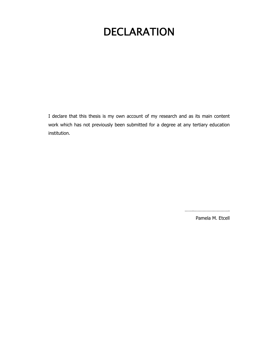## DECLARATION

I declare that this thesis is my own account of my research and as its main content work which has not previously been submitted for a degree at any tertiary education institution.

…….……………………….

Pamela M. Etcell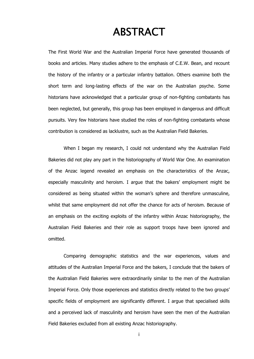#### ABSTRACT

The First World War and the Australian Imperial Force have generated thousands of books and articles. Many studies adhere to the emphasis of C.E.W. Bean, and recount the history of the infantry or a particular infantry battalion. Others examine both the short term and long-lasting effects of the war on the Australian psyche. Some historians have acknowledged that a particular group of non-fighting combatants has been neglected, but generally, this group has been employed in dangerous and difficult pursuits. Very few historians have studied the roles of non-fighting combatants whose contribution is considered as lacklustre, such as the Australian Field Bakeries.

When I began my research, I could not understand why the Australian Field Bakeries did not play any part in the historiography of World War One. An examination of the Anzac legend revealed an emphasis on the characteristics of the Anzac, especially masculinity and heroism. I argue that the bakers' employment might be considered as being situated within the woman's sphere and therefore unmasculine, whilst that same employment did not offer the chance for acts of heroism. Because of an emphasis on the exciting exploits of the infantry within Anzac historiography, the Australian Field Bakeries and their role as support troops have been ignored and omitted.

Comparing demographic statistics and the war experiences, values and attitudes of the Australian Imperial Force and the bakers, I conclude that the bakers of the Australian Field Bakeries were extraordinarily similar to the men of the Australian Imperial Force. Only those experiences and statistics directly related to the two groups' specific fields of employment are significantly different. I argue that specialised skills and a perceived lack of masculinity and heroism have seen the men of the Australian Field Bakeries excluded from all existing Anzac historiography.

i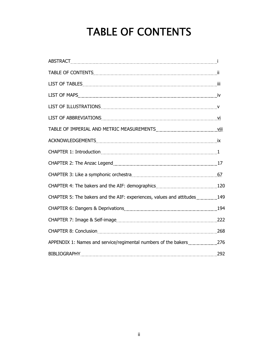# TABLE OF CONTENTS

| CHAPTER 5: The bakers and the AIF: experiences, values and attitudes149 |     |
|-------------------------------------------------------------------------|-----|
|                                                                         |     |
|                                                                         |     |
|                                                                         |     |
| APPENDIX 1: Names and service/regimental numbers of the bakers276       |     |
| <b>BIBLIOGRAPHY</b>                                                     | 292 |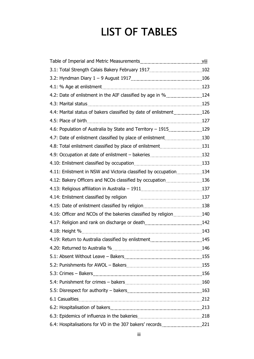## LIST OF TABLES

| 3.2: Hyndman Diary 1 - 9 August 1917 [1917] [1910] [1910] [1910] [1910] [1910] [1910] [1910] [1910] [1910] [19 |     |
|----------------------------------------------------------------------------------------------------------------|-----|
|                                                                                                                |     |
| 4.2: Date of enlistment in the AIF classified by age in %124                                                   |     |
|                                                                                                                |     |
| 4.4: Marital status of bakers classified by date of enlistment [11,111] 126                                    |     |
|                                                                                                                |     |
| 4.6: Population of Australia by State and Territory - 1915129                                                  |     |
| 4.7: Date of enlistment classified by place of enlistment130                                                   |     |
| 4.8: Total enlistment classified by place of enlistment131                                                     |     |
|                                                                                                                |     |
|                                                                                                                |     |
| 4.11: Enlistment in NSW and Victoria classified by occupation134                                               |     |
| 4.12: Bakery Officers and NCOs classified by occupation136                                                     |     |
|                                                                                                                |     |
| 4.14: Enlistment classified by religion contains an array and the 137                                          |     |
|                                                                                                                |     |
|                                                                                                                |     |
|                                                                                                                |     |
|                                                                                                                |     |
| 4.19: Return to Australia classified by enlistment [11,113]. [145] 145                                         |     |
| 4.20: Returned to Australia %                                                                                  | 146 |
|                                                                                                                |     |
|                                                                                                                |     |
|                                                                                                                |     |
|                                                                                                                |     |
|                                                                                                                |     |
|                                                                                                                |     |
|                                                                                                                |     |
|                                                                                                                |     |
|                                                                                                                |     |
|                                                                                                                |     |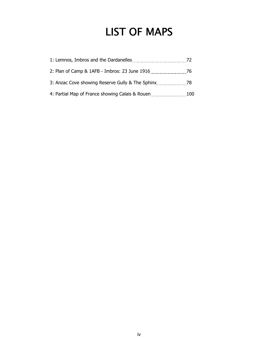### LIST OF MAPS

|                                                  | 72  |
|--------------------------------------------------|-----|
| 2: Plan of Camp & 1AFB - Imbros: 23 June 1916 76 |     |
| 3: Anzac Cove showing Reserve Gully & The Sphinx | 78  |
| 4: Partial Map of France showing Calais & Rouen  | 100 |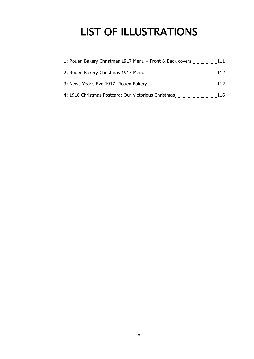## LIST OF ILLUSTRATIONS

| 11: Rouen Bakery Christmas 1917 Menu – Front & Back covers111 |      |
|---------------------------------------------------------------|------|
|                                                               |      |
|                                                               | 112  |
| 4: 1918 Christmas Postcard: Our Victorious Christmas          | -116 |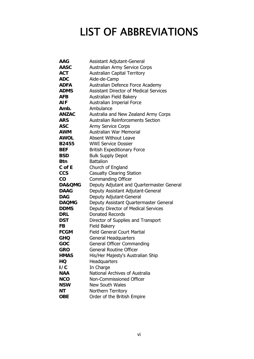### LIST OF ABBREVIATIONS

| AAG          | Assistant Adjutant-General                    |
|--------------|-----------------------------------------------|
| <b>AASC</b>  | Australian Army Service Corps                 |
| <b>ACT</b>   | <b>Australian Capital Territory</b>           |
| <b>ADC</b>   | Aide-de-Camp                                  |
| <b>ADFA</b>  | Australian Defence Force Academy              |
| <b>ADMS</b>  | <b>Assistant Director of Medical Services</b> |
| <b>AFB</b>   | Australian Field Bakery                       |
| AIF          | Australian Imperial Force                     |
| Amb.         | Ambulance                                     |
| <b>ANZAC</b> | Australia and New Zealand Army Corps          |
| <b>ARS</b>   | <b>Australian Reinforcements Section</b>      |
| <b>ASC</b>   | <b>Army Service Corps</b>                     |
| AWM          | Australian War Memorial                       |
| <b>AWOL</b>  | <b>Absent Without Leave</b>                   |
| <b>B2455</b> | <b>WWI Service Dossier</b>                    |
| <b>BEF</b>   | <b>British Expeditionary Force</b>            |
| <b>BSD</b>   | <b>Bulk Supply Depot</b>                      |
| <b>Btn</b>   | <b>Battalion</b>                              |
| $C$ of $E$   | Church of England                             |
| <b>CCS</b>   | <b>Casualty Clearing Station</b>              |
| CO           | <b>Commanding Officer</b>                     |
| DA&QMG       | Deputy Adjutant and Quartermaster General     |
| <b>DAAG</b>  | Deputy Assistant Adjutant-General             |
| <b>DAG</b>   | Deputy Adjutant-General                       |
| <b>DAQMG</b> | Deputy Assistant Quartermaster General        |
| <b>DDMS</b>  | Deputy Director of Medical Services           |
| <b>DRL</b>   | <b>Donated Records</b>                        |
| DST          | Director of Supplies and Transport            |
| <b>FB</b>    | <b>Field Bakery</b>                           |
| <b>FCGM</b>  | <b>Field General Court Martial</b>            |
| <b>GHQ</b>   | <b>General Headquarters</b>                   |
| GOC          | <b>General Officer Commanding</b>             |
| GRO          | <b>General Routine Officer</b>                |
| <b>HMAS</b>  | His/Her Majesty's Australian Ship             |
| HQ           | Headquarters                                  |
| 1/C          | In Charge                                     |
| <b>NAA</b>   | National Archives of Australia                |
| <b>NCO</b>   | Non-Commissioned Officer                      |
| <b>NSW</b>   | <b>New South Wales</b>                        |
| ΝT           | Northern Territory                            |
| <b>OBE</b>   | Order of the British Empire                   |
|              |                                               |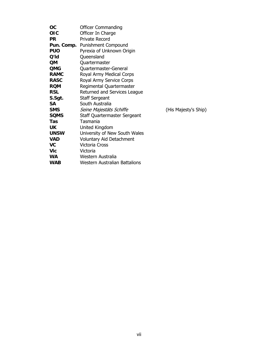| OC          | <b>Officer Commanding</b>            |                      |
|-------------|--------------------------------------|----------------------|
| <b>OIC</b>  | Officer In Charge                    |                      |
| <b>PR</b>   | <b>Private Record</b>                |                      |
| Pun. Comp.  | <b>Punishment Compound</b>           |                      |
| <b>PUO</b>  | Pyrexia of Unknown Origin            |                      |
| Q'ld        | Queensland                           |                      |
| <b>QM</b>   | Quartermaster                        |                      |
| <b>QMG</b>  | Quartermaster-General                |                      |
| <b>RAMC</b> | Royal Army Medical Corps             |                      |
| <b>RASC</b> | Royal Army Service Corps             |                      |
| <b>RQM</b>  | Regimental Quartermaster             |                      |
| <b>RSL</b>  | Returned and Services League         |                      |
| S.Sgt.      | <b>Staff Sergeant</b>                |                      |
| <b>SA</b>   | South Australia                      |                      |
| <b>SMS</b>  | Seine Majestäts Schiffe              | (His Majesty's Ship) |
| <b>SQMS</b> | Staff Quartermaster Sergeant         |                      |
| Tas         | Tasmania                             |                      |
| <b>UK</b>   | United Kingdom                       |                      |
| <b>UNSW</b> | University of New South Wales        |                      |
| <b>VAD</b>  | <b>Voluntary Aid Detachment</b>      |                      |
| <b>VC</b>   | <b>Victoria Cross</b>                |                      |
| <b>Vic</b>  | Victoria                             |                      |
| <b>WA</b>   | Western Australia                    |                      |
| <b>WAB</b>  | <b>Western Australian Battalions</b> |                      |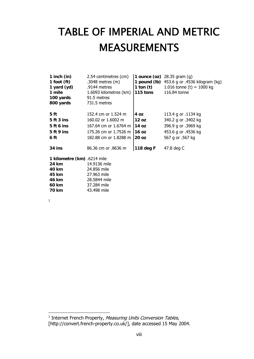# TABLE OF IMPERIAL AND METRIC MEASUREMENTS

| 1 inch $(in)$<br>1 foot $(ft)$<br>1 yard (yd)<br>1 mile<br>100 yards<br>800 yards | 2.54 centimetres (cm)<br>.3048 metres $(m)$<br>.9144 metres<br>1.6093 kilometres (km)<br>91.5 metres<br>731.5 metres | 1 pound (lb)<br>1 ton $(t)$<br>115 tons | 1 ounce (oz) $28.35$ gram (g)<br>453.6 g or .4536 kilogram (kg)<br>1.016 tonne (t) = 1000 kg<br>116.84 tonne |
|-----------------------------------------------------------------------------------|----------------------------------------------------------------------------------------------------------------------|-----------------------------------------|--------------------------------------------------------------------------------------------------------------|
| 5 ft                                                                              | 152.4 cm or 1.524 m                                                                                                  | 4 oz                                    | 113.4 g or .1134 kg                                                                                          |
| 5 ft 3 ins                                                                        | 160.02 or 1.6002 m                                                                                                   | 12 oz                                   | 340.2 g or .3402 kg                                                                                          |
| 5 ft 6 ins                                                                        | 167.64 cm or 1.6764 m                                                                                                | 14 oz                                   | 396.9 g or .3969 kg                                                                                          |
| 5 ft 9 ins                                                                        | 175.26 cm or 1.7526 m                                                                                                | 116 oz                                  | 453.6 g or .4536 kg                                                                                          |
| 6 ft                                                                              | 182.88 cm or 1.8288 m                                                                                                | 20 oz                                   | 567 g or .567 kg                                                                                             |
| 34 ins                                                                            | 86.36 cm or .8636 m                                                                                                  | 118 deg F                               | 47.8 deg C                                                                                                   |
| 1 kilometre (km) .6214 mile                                                       |                                                                                                                      |                                         |                                                                                                              |
| <b>24 km</b>                                                                      | 14.9136 mile                                                                                                         |                                         |                                                                                                              |
| 40 km                                                                             | 24.856 mile                                                                                                          |                                         |                                                                                                              |
| 45 km                                                                             | 27.963 mile                                                                                                          |                                         |                                                                                                              |
| 46 km                                                                             | 28.5844 mile                                                                                                         |                                         |                                                                                                              |
| 60 km                                                                             | 37.284 mile                                                                                                          |                                         |                                                                                                              |
| 70 km                                                                             | 43.498 mile                                                                                                          |                                         |                                                                                                              |

1

 1 Internet French Property, Measuring Units Conversion Tables, [http://convert.french-property.co.uk/], date accessed 15 May 2004.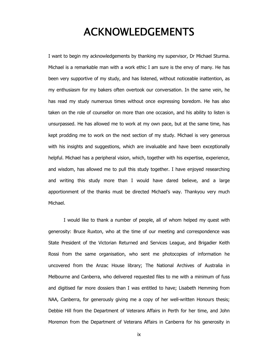#### ACKNOWLEDGEMENTS

I want to begin my acknowledgements by thanking my supervisor, Dr Michael Sturma. Michael is a remarkable man with a work ethic I am sure is the envy of many. He has been very supportive of my study, and has listened, without noticeable inattention, as my enthusiasm for my bakers often overtook our conversation. In the same vein, he has read my study numerous times without once expressing boredom. He has also taken on the role of counsellor on more than one occasion, and his ability to listen is unsurpassed. He has allowed me to work at my own pace, but at the same time, has kept prodding me to work on the next section of my study. Michael is very generous with his insights and suggestions, which are invaluable and have been exceptionally helpful. Michael has a peripheral vision, which, together with his expertise, experience, and wisdom, has allowed me to pull this study together. I have enjoyed researching and writing this study more than I would have dared believe, and a large apportionment of the thanks must be directed Michael's way. Thankyou very much Michael.

I would like to thank a number of people, all of whom helped my quest with generosity: Bruce Ruxton, who at the time of our meeting and correspondence was State President of the Victorian Returned and Services League, and Brigadier Keith Rossi from the same organisation, who sent me photocopies of information he uncovered from the Anzac House library; The National Archives of Australia in Melbourne and Canberra, who delivered requested files to me with a minimum of fuss and digitised far more dossiers than I was entitled to have; Lisabeth Hemming from NAA, Canberra, for generously giving me a copy of her well-written Honours thesis; Debbie Hill from the Department of Veterans Affairs in Perth for her time, and John Moremon from the Department of Veterans Affairs in Canberra for his generosity in

ix